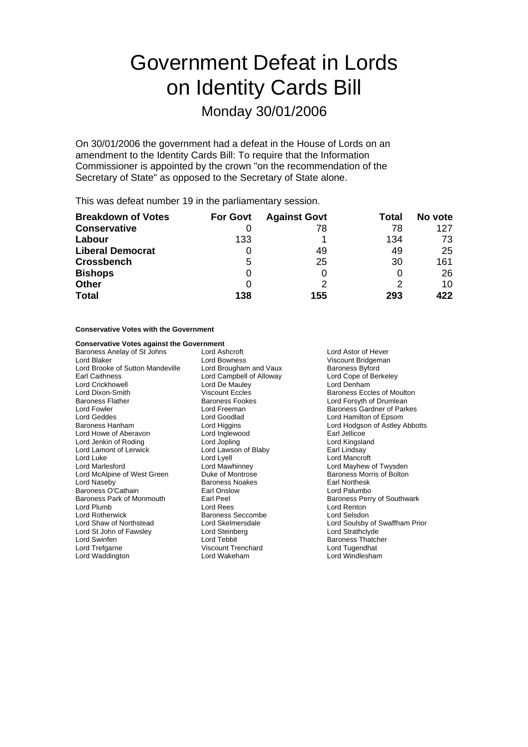# Government Defeat in Lords on Identity Cards Bill

# Monday 30/01/2006

On 30/01/2006 the government had a defeat in the House of Lords on an amendment to the Identity Cards Bill: To require that the Information Commissioner is appointed by the crown "on the recommendation of the Secretary of State" as opposed to the Secretary of State alone.

This was defeat number 19 in the parliamentary session.

| <b>Breakdown of Votes</b> | <b>For Govt</b> | <b>Against Govt</b> | Total | No vote |
|---------------------------|-----------------|---------------------|-------|---------|
| <b>Conservative</b>       |                 | 78                  | 78    | 127     |
| Labour                    | 133             |                     | 134   | 73      |
| <b>Liberal Democrat</b>   |                 | 49                  | 49    | 25      |
| <b>Crossbench</b>         | 5               | 25                  | 30    | 161     |
| <b>Bishops</b>            | 0               |                     | 0     | 26      |
| <b>Other</b>              | O               |                     | 2     | 10      |
| <b>Total</b>              | 138             | 155                 | 293   | 422     |

## **Conservative Votes with the Government**

### **Conservative Votes against the Government**

Baroness Anelay of St Johns Lord Ashcroft Lord Astor of Hever Lord Blaker **Lord Bowness** Cord Bowness Cord Blaker Muscount Bridgeman<br>Lord Brooke of Sutton Mandeville Lord Brougham and Vaux **Baroness Byford** Lord Brooke of Sutton Mandeville Lord Brougham and Vaux Baroness Byford<br>
Earl Caithness Cord Campbell of Alloway Lord Cope of Berkeley Lord Crickhowell **Lord De Mauley** Lord Denham Lord Dixon-Smith Viscount Eccles Baroness Eccles of Moulton<br>Baroness Flather Baroness Fookes Baroness Eccles Control Baroness Flather Baroness Flather **Baroness Fookes** Lord Forsyth of Drumlean<br>
Lord Fowler Lord Forsyth Corporation Lord Freeman<br>
Lord Forsyth Corporation Corporation Corporation Corporation Corporation Corporation Corporation Corporation L Lord Geddes **Lord Goodlad** Lord Goodlad Lord Hamilton of Epsom<br>
Baroness Hanham **Lord Higgins** Lord Higgins Lord Hodgson of Astley Lord Howe of Aberavon Lord Inglewood Earl Jellicoe Lord Jenkin of Roding<br>
Lord Lamont of Lerwick<br>
Lord Lawson of Blaby Lord Lamont of Lerwick Lord Lawson of Blaby Earl Lindsay<br>
Lord Luke Lord Lord Lyell Lord Mancro Lord Luke Lord Lyell Lord Mancroft Lord McAlpine of West Green Duke of Montrose Baroness Morris of Bolton Lord Naseby **Baroness Noakes** Earl Northesk<br>Baroness O'Cathain **Baroness Earl Onslow** Earl Onslow Baroness O'Cathain<br>Baroness Park of Monmouth Earl Peel Lord Plumb Lord Rees Lord Renton Lord Rotherwick **Baroness Seccombe** Lord Selsdon<br>
Lord Shaw of Northstead
Lord Selstemersdale
Lord Shaw of Northstead
Lord Selstemersdale
Lord Shaw of Northstead
Lord Shaw of Northstead
Lord Shaw of Northstead
Lord Shaw of Lord St John of Fawsley Lord Steinberg Lord Swinfen **Lord Tebbit** Lord Tebbit Baroness Thatcher<br>
Lord Trefgarne **Contract Contract Contract Contract Contract Contract Contract Contract Contract Contract Contra<br>
Lord Trefgarne Contract Contract Contract Contract** Lord Waddington Lord Wakeham Lord Windlesham

Lord Campbell of Alloway Viscount Trenchard

Baroness Gardner of Parkes Lord Higgins **Example 2** Lord Hodgson of Astley Abbotts<br>
Lord Inglewood **Earl Jellicoe** Lord Mayhew of Twysden Baroness Perry of Southwark Lord Soulsby of Swaffham Prior<br>Lord Strathclyde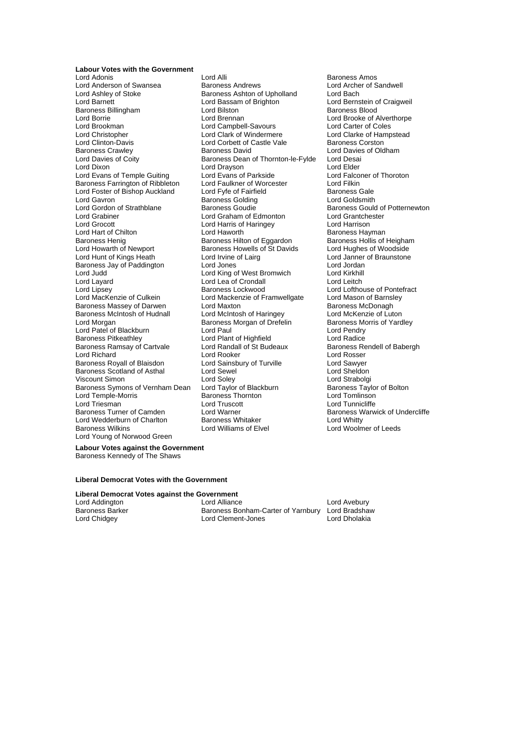**Labour Votes with the Government** Lord Adonis Lord Alli Baroness Amos Lord Anderson of Swansea Baroness Andrews Lord Archer Lord Archer Caroless Association Cord Archer Cord Bach<br>
Baroness Ashton of Upholland Lord Bach Lord Ashley of Stoke **Baroness Ashton of Upholland** Lord Bach<br>
Lord Barnett **Lord Bassam of Brighton** Lord Bernstein of Craigweil Baroness Billingham **Lord Bilston** Baroness Blood<br>
Lord Borrie Baroness Blood<br>
Lord Brennan Brooke of A Lord Brookman **Lord Campbell-Savours** Lord Carter of Coles<br>
Lord Christopher **Lord Clark Clark of Windermere** Lord Clarke of Hampstead Lord Christopher **Lord Clark of Windermere** Lord Clarke of Hampster Clark of Clarke of Hampster Clarke of Hampstead<br>
Lord Clarke of Caste Vale Baroness Corston Lord Clinton-Davis Lord Corbett of Castle Vale<br>
Baroness Crawley Baroness David Baroness Crawley **Baroness David** Lord Davies of Oldham<br>
Lord Davies of Coity **Baroness Dean of Thornton-le-Fylde** Lord Desai Lord Dixon Lord Drayson Lord Drayson<br>
Lord Evans of Temple Guiting Lord Evans of Parkside Lord Example Lord Falconer of Thoroton Lord Evans of Temple Guiting Lord Evans of Parkside Lord Falconers Farrington of Ribbleton Lord Faulkner of Worcester Lord Filkin Baroness Farrington of Ribbleton Lord Faulkner of Worcester Lord Filkin<br>
Lord Foster of Bishop Auckland Lord Fyfe of Fairfield Baroness Gale Lord Foster of Bishop Auckland Lord Fyfe of Fairfield Baroness Gale<br>Lord Gavron Baroness Golding Baroness Golding Lord Goldsmith Lord Gavron **Baroness Golding**<br>
Lord Gordon of Strathblane **Baroness Goudie** Lord Grabiner Lord Graham of Edmonton Lord Grantchester Lord Hart of Chilton Lord Haworth Lord Haworth Baroness Hayman<br>Baroness Henig Baroness Henigham Baroness Hilton of Eggardon Baroness Hollis of Heigham Baroness Henig **Baroness Hilton of Eggardon** Baroness Hollis of Heighar<br> **Baroness Howarth of Newport** Baroness Howells of St Davids Lord Hughes of Woodside Lord Howarth of Newport Baroness Howells of St Davids<br>
Lord Hunt of Kings Heath Lord Irvine of Lairg Baroness Jay of Paddington Lord Judd Lord King of West Bromwich Lord Kirkhill Lord Layard **Lord Lea of Crondall**<br>
Lord Lipsev **Lord Lord Lord Lipsev** Lord Lipsey **Baroness Lockwood** Lord Lord Lofthouse of Pontefract<br>
Lord Mackenzie of Culkein Lord Mackenzie of Framwellgate Lord Mason of Barnsley Baroness Massey of Darwen Lord Maxton Lord Maxton Communist Caroness McDonagh<br>Baroness McIntosh of Hudnall Lord McIntosh of Haringey Lord McKenzie of Luton Baroness McIntosh of Hudnall Lord McIntosh of Haringey Lord McKenzie of Luton<br>Lord Morgan Lord McIntos Baroness Morgan of Drefelin Baroness Morris of Yardley Lord Patel of Blackburn and Lord Paul Lord Paul Lord Pendry<br>
Lord Radice Cord Plant of Highfield Lord Radice Baroness Ramsay of Cartvale Lord Randall of St Budeaux Baroness Rendell ord Randall of St Budeaux Baroness Rendell ord Rosser Lord Richard (Educator Cord Rooker Lord Rosser Lord Rosser Cord Rosser Cord Rosser Lord Rosser Cord Rosser Cord Rosser Cord Rosser Cord Rosser Cord Rosser Cord Rosser Cord Rosser Cord Rample Cord Sawyer Baroness Royall of Blaisdon Lord Sainsbury of Turville **Lord Sawyer**<br>
Lord Saxumess Scotland of Asthal Lord Sewel<br>
Lord Sheldon Baroness Scotland of Asthal Lord Sewel<br>Viscount Simon Lord Soley Baroness Symons of Vernham Dean Lord Taylor of Blackburn Baroness Taylor of Blackburn Baroness Taylor Cord Tomlinson Lord Temple-Morris Baroness Thornton Lord Tomlinson Lord Triesman Lord Truscott Lord Tunnicliffe Lord Wedderburn of Charlton Baroness Whitaker<br>Baroness Wilkins **Baroness Williams** of Elvel Lord Young of Norwood Green

Lord Bassam of Brighton Baroness Dean of Thornton-le-Fylde Lord Harris of Haringey<br>
Lord Haworth **Communist Communist Communist Communist Communist Communist Communist Communist Communist Communist** Lord Irvine of Lairg<br>Lord Janner of Braunstone<br>Lord Jones Lord Jordan Lord Mackenzie of Framwellgate Lord Mason of Barnsl<br>Lord Maxton Culkein Baroness McDonagh Baroness Morgan of Drefelin Lord Plant of Highfield<br>
Lord Randall of St Budeaux<br>
Baroness Rendell of Babergh Lord Soley<br>
Lord Soley 
Lord Strabolgi<br>
Lord Taylor of Blackburn

Baroness Taylor of Bolton **Example 2** Extra Lord Warner Camer Baroness Warwick of Undercliffe<br>
Baroness Whitaker Lord Whitty

Lord Brooke of Alverthorpe Baroness Gould of Potternewton Lord Woolmer of Leeds

**Labour Votes against the Government** Baroness Kennedy of The Shaws

### **Liberal Democrat Votes with the Government**

**Liberal Democrat Votes against the Government**

Lord Addington **Lord Alliance** Lord Alliance Lord Addington Lord Avebury<br>Baroness Barker **Baroness Bonham-Carter of Yarnbury** Lord Bradshaw Baroness Barker Baroness Bonham-Carter of Yarnbury Lord Bradshav<br>Lord Chidgey Lord Clement-Jones Lord Dholakia Lord Clement-Jones